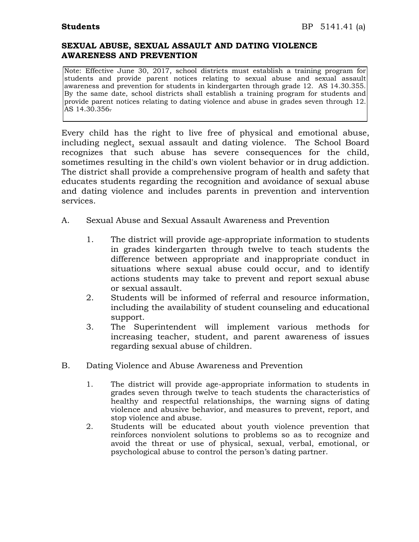## **SEXUAL ABUSE, SEXUAL ASSAULT AND DATING VIOLENCE AWARENESS AND PREVENTION**

Note: Effective June 30, 2017, school districts must establish a training program for students and provide parent notices relating to sexual abuse and sexual assault awareness and prevention for students in kindergarten through grade 12. AS 14.30.355. By the same date, school districts shall establish a training program for students and provide parent notices relating to dating violence and abuse in grades seven through 12. AS 14.30.356.

Every child has the right to live free of physical and emotional abuse, including neglect, sexual assault and dating violence. The School Board recognizes that such abuse has severe consequences for the child, sometimes resulting in the child's own violent behavior or in drug addiction. The district shall provide a comprehensive program of health and safety that educates students regarding the recognition and avoidance of sexual abuse and dating violence and includes parents in prevention and intervention services.

- A. Sexual Abuse and Sexual Assault Awareness and Prevention
	- 1. The district will provide age-appropriate information to students in grades kindergarten through twelve to teach students the difference between appropriate and inappropriate conduct in situations where sexual abuse could occur, and to identify actions students may take to prevent and report sexual abuse or sexual assault.
	- 2. Students will be informed of referral and resource information, including the availability of student counseling and educational support.
	- 3. The Superintendent will implement various methods for increasing teacher, student, and parent awareness of issues regarding sexual abuse of children.
- B. Dating Violence and Abuse Awareness and Prevention
	- 1. The district will provide age-appropriate information to students in grades seven through twelve to teach students the characteristics of healthy and respectful relationships, the warning signs of dating violence and abusive behavior, and measures to prevent, report, and stop violence and abuse.
	- 2. Students will be educated about youth violence prevention that reinforces nonviolent solutions to problems so as to recognize and avoid the threat or use of physical, sexual, verbal, emotional, or psychological abuse to control the person's dating partner.